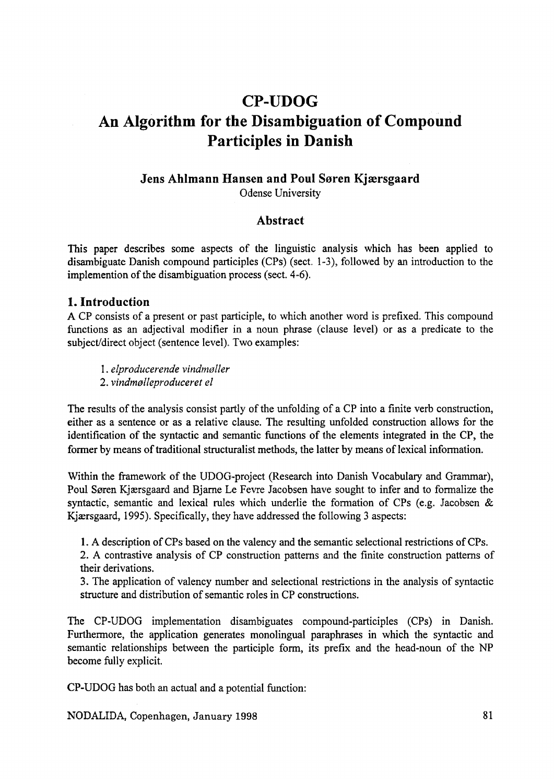# **CP-UDOG An Algorithm for the Disambiguation of Compound Participles in Danish**

#### **Jens Ahlmann Hansen and Poul Søren Kjærsgaard** Odense University

#### **Abstract**

This paper describes some aspects of the linguistic analysis which has been applied to disambiguate Danish compound participles (CPs) (sect.  $1-3$ ), followed by an introduction to the im p lem entition of the disam biguation process (sect.  $4-6$ ).

## **1. Introduction**

A CP consists of a present or past participle, to which another word is prefixed. This compound functions as an adjectival modifier in a noun phrase (clause level) or as a predicate to the subject/direct object (sentence level). Two examples:

1. *elp ro d u ceren d e vin d m ø ller*

2. *vind mølle produceret el* 

The results of the analysis consist partly of the unfolding of a CP into a finite verb construction, either as a sentence or as a relative clause. The resulting unfolded construction allows for the identification of the syntactic and semantic functions of the elements integrated in the CP, the former by means of traditional structuralist methods, the latter by means of lexical information.

Within the framework of the UDOG-project (Research into Danish Vocabulary and Grammar), Poul Søren Kjærsgaard and Bjarne Le Fevre Jacobsen have sought to infer and to formalize the syntactic, semantic and lexical rules which underlie the formation of CPs (e.g. Jacobsen  $\&$ K jærsgaard, 1995). Specifically, they have addressed the following 3 aspects:

1. A description of CPs based on the valency and the semantic selectional restrictions of CPs.

2. A contrastive analysis of CP construction patterns and the finite construction patterns of their derivations.

3. The application of valency number and selectional restrictions in the analysis of syntactic structure and distribution of semantic roles in CP constructions.

The CP-UDOG implementation disambiguates compound-participles (CPs) in Danish. Furthermore, the application generates monolingual paraphrases in which the syntactic and sem antic relation ships between the participle form, its prefix and the head-noun of the NP become fully explicit.

CP-UDOG has both an actual and a potential function:

NODALIDA, Copenhagen, January 1998 81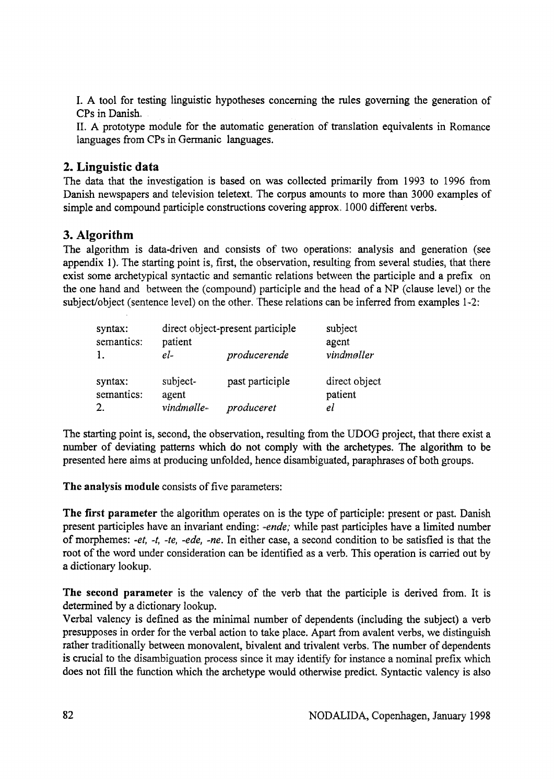I. A tool for testing linguistic hypotheses concerning the rules governing the generation of CPs in Danish.

II. A prototype module for the automatic generation of translation equivalents in Romance languages from CPs in Germanic languages.

#### **2. Linguistic data**

The data that the investigation is based on was collected primarily from 1993 to 1996 from Danish newspapers and television teletext. The corpus amounts to more than 3000 examples of simple and compound participle constructions covering approx. 1000 different verbs.

## **3. Algorithm**

The algorithm is data-driven and consists of two operations: analysis and generation (see appendix 1). The starting point is, first, the observation, resulting from several studies, that there exist some archetypical syntactic and semantic relations between the participle and a prefix on the one hand and between the (compound) participle and the head of a NP (clause level) or the subject/object (sentence level) on the other. These relations can be inferred from examples 1-2:

| syntax:<br>semantics:<br>1. | patient<br>$el$ - | direct object-present participle<br>producerende | subject<br>agent<br>vindmøller |
|-----------------------------|-------------------|--------------------------------------------------|--------------------------------|
| syntax:<br>semantics:       | subject-<br>agent | past participle                                  | direct object<br>patient       |
| 2.                          | vindmølle-        | produceret                                       | el                             |

The starting point is, second, the observation, resulting from the UDOG project, that there exist a number of deviating patterns which do not comply with the archetypes. The algorithm to be presented here aims at producing unfolded, hence disambiguated, paraphrases of both groups.

The analysis module consists of five parameters:

The first parameter the algorithm operates on is the type of participle: present or past. Danish present participles have an invariant ending: *-ende;* while past participles have a limited number of morphemes: *-et, -t, -te, -ede, -ne.* In either case, a second condition to be satisfied is that the root of the word under consideration can be identified as a verb. This operation is carried out by a dictionary lookup.

The second parameter is the valency of the verb that the participle is derived from. It is determined by a dictionary lookup.

Verbal valency is defined as the minimal number of dependents (including the subject) a verb presupposes in order for the verbal action to take place. Apart from avalent verbs, we distinguish rather traditionally between monovalent, bivalent and trivalent verbs. The number of dependents is crucial to the disambiguation process since it may identify for instance a nominal prefix which does not fill the function which the archetype would otherwise predict. Syntactic valency is also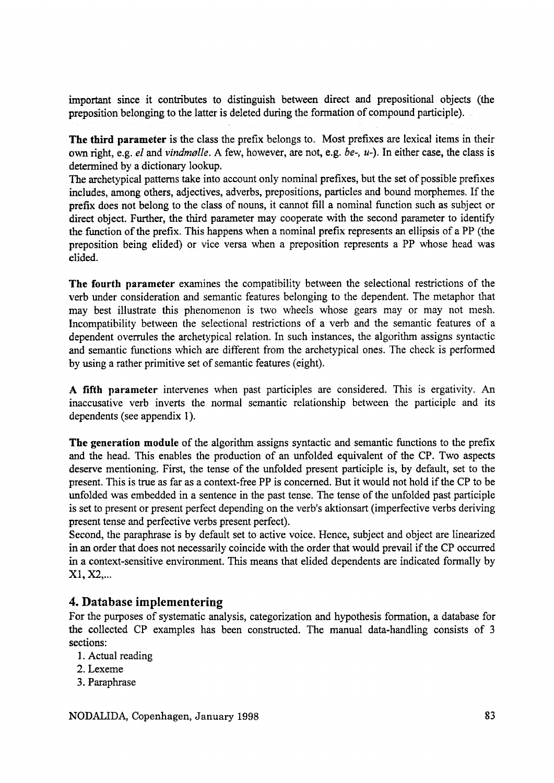important since it contributes to distinguish between direct and prepositional objects (the preposition belonging to the latter is deleted during the formation of compound participle).

The third parameter is the class the prefix belongs to. Most prefixes are lexical items in their own right, e.g. *el* and *vindmølle*. A few, however, are not, e.g. *be-*, *u-*). In either case, the class is determined by a dictionary lookup.

The archetypical patterns take into account only nominal prefixes, but the set of possible prefixes includes, among others, adjectives, adverbs, prepositions, particles and bound morphemes. If the prefix does not belong to the class of nouns, it cannot fill a nominal function such as subject or direct object. Further, the third parameter may cooperate with the second parameter to identify the function of the prefix. This happens when a nominal prefix represents an ellipsis of a PP (the preposition being elided) or vice versa when a preposition represents a PP whose head was elided.

The fourth parameter examines the compatibility between the selectional restrictions of the verb under consideration and semantic features belonging to the dependent. The metaphor that may best illustrate this phenomenon is two wheels whose gears may or may not mesh. Incompatibility between the selectional restrictions of a verb and the semantic features of a dependent overrules the archetypical relation. In such instances, the algorithm assigns syntactic and semantic functions which are different from the archetypical ones. The check is performed by using a rather primitive set of semantic features (eight).

A fifth parameter intervenes when past participles are considered. This is ergativity. An inaccusative verb inverts the normal semantic relationship between the participle and its dependents (see appendix 1).

The generation module of the algorithm assigns syntactic and semantic functions to the prefix and the head. This enables the production of an unfolded equivalent of the CP. Two aspects deserve mentioning. First, the tense of the unfolded present participle is, by default, set to the present. This is true as far as a context-free PP is concerned. But it would not hold if the CP to be unfolded was embedded in a sentence in the past tense. The tense of the unfolded past participle is set to present or present perfect depending on the verb's aktionsart (imperfective verbs deriving present tense and perfective verbs present perfect).

Second, the paraphrase is by default set to active voice. Hence, subject and object are linearized in an order that does not necessarily coincide with the order that would prevail if the CP occurred in a context-sensitive environment. This means that elided dependents are indicated formally by  $X1, X2, ...$ 

## **4. Database implementering**

For the purposes of systematic analysis, categorization and hypothesis formation, a database for the collected CP examples has been constructed. The manual data-handling consists of 3 sections:

- 1. Actual reading
- 2. Lexeme
- 3. Paraphrase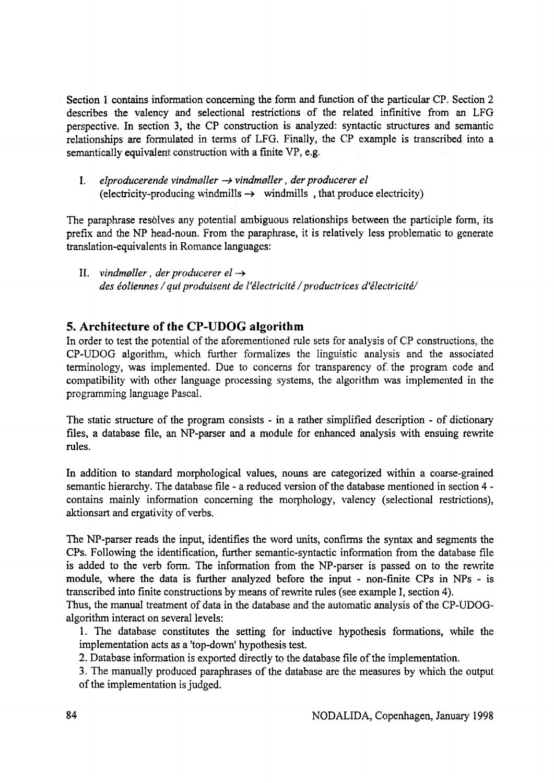Section 1 contains information concerning the form and function of the particular CP. Section 2 describes the valency and selectional restrictions of the related infinitive from an LFG perspective. In section 3, the CP construction is analyzed: syntactic structures and semantic relation ship s are formulated in terms of LFG. Finally, the CP example is transcribed into a sem antically equivalent construction with a finite VP, e.g.

I, elproducerende vind møller  $\rightarrow$  vind møller, der producerer el (electricity-producing wind mills  $\rightarrow$  wind mills , that produce electricity)

The paraphrase resolves any potential ambiguous relationships between the participle form, its prefix and the NP head-noun. From the paraphrase, it is relatively less problematic to generate translation-equivalents in Romance languages:

II. *vind møller, der producerer el*  $\rightarrow$ des éoliennes / qui produisent de l'électricité / productrices d'électricité/

## **5. Architecture of the CP-UDOG algorithm**

In order to test the potential of the aforementioned rule sets for analysis of CP constructions, the CP-UDOG algorithm, which further formalizes the linguistic analysis and the associated terminology, was implemented. Due to concerns for transparency of the program code and compatibility with other language processing systems, the algorithm was implemented in the programming language Pascal.

The static structure of the program consists - in a rather simplified description - of dictionary files, a database file, an NP-parser and a module for enhanced analysis with ensuing rewrite rules.

In addition to standard morphological values, nouns are categorized within a coarse-grained sem antic hierarchy. The database file - a reduced version of the database mentioned in section 4 contains mainly information concerning the morphology, valency (selectional restrictions), aktionsart and ergativity of verbs.

The NP-parser reads the input, identifies the word units, confirms the syntax and segments the CPs. Following the identification, further semantic-syntactic information from the database file is added to the verb form. The information from the NP-parser is passed on to the rewrite module, where the data is further analyzed before the input - non-finite CPs in NPs - is transcribed into finite constructions by means of rewrite rules (see example I, section 4).

Thus, the manual treatment of data in the database and the automatic analysis of the CP-UDOGalgorithm interact on several levels:

- 1. The database constitutes the setting for inductive hypothesis formations, while the implementation acts as a 'top-down' hypothesis test.
- 2. Database information is exported directly to the database file of the implementation.

3. The manually produced paraphrases of the database are the measures by which the output of the implementation is judged.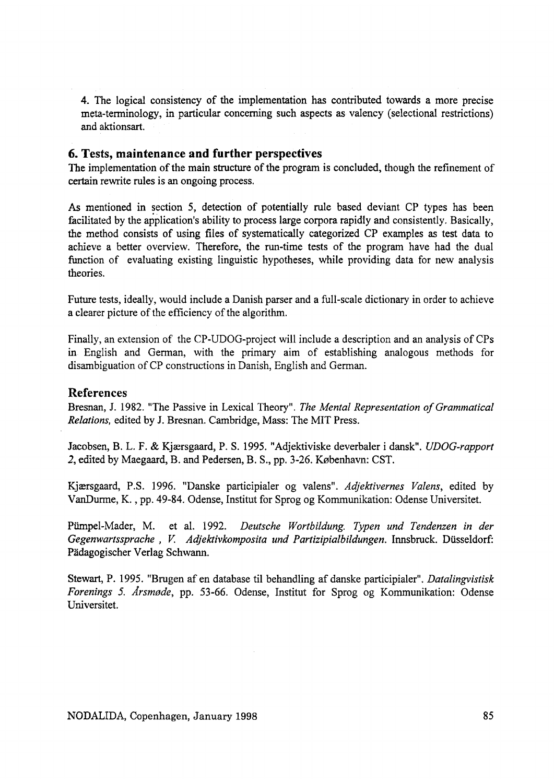4. The logical consistency of the implementation has contributed towards a more precise meta-terminology, in particular concerning such aspects as valency (selectional restrictions) and aktionsart.

#### **6. Tests, maintenance and further perspectives**

The implementation of the main structure of the program is concluded, though the refinement of certain rewrite rules is an ongoing process.

As mentioned in section 5, detection of potentially rule based deviant CP types has been facilitated by the application's ability to process large corpora rapidly and consistently. Basically, the method consists of using files of systematically categorized CP examples as test data to achieve a better overview. Therefore, the run-time tests of the program have had the dual function of evaluating existing linguistic hypotheses, while providing data for new analysis theories.

Future tests, ideally, would include a Danish parser and a full-scale dictionary in order to achieve a clearer picture of the efficiency of the algorithm.

Finally, an extension of the CP-UDOG-project will include a description and an analysis of CPs in English and German, with the primary aim of establishing analogous methods for disambiguation of CP constructions in Danish, English and German.

#### **References**

Bresnan, J. 1982. "The Passive in Lexical Theory". *The Mental Representation of Grammatical Relations,* edited by J. Bresnan. Cambridge, Mass: The MIT Press.

Jacobsen, B. L. F. & Kjærsgaard, P. S. 1995. "Adjektiviske deverbaler i dansk". *UDOG-rapport* 2, edited by Maegaard, B. and Pedersen, B. S., pp. 3-26. København: CST.

Kjærsgaard, P.S. 1996. "Danske participialer og valens". Adjektivernes Valens, edited by VanDurme, K., pp. 49-84. Odense, Institut for Sprog og Kommunikation: Odense Universitet.

Pümpel-Mader, M. et al. 1992. *Deutsche Wortbildung. Typen und Tendenzen in der* Gegenwartssprache, V. A djektivkomposita und Partizipial bildungen. Innsbruck. Düsseldorf: Pädagogischer Verlag Schwann.

Stewart, P. 1995. "Brugen af en database til behandling af danske participialer". *Datalingvistisk Forenings 5. Årsmøde*, pp. 53-66. Odense, Institut for Sprog og Kommunikation: Odense Universitet.